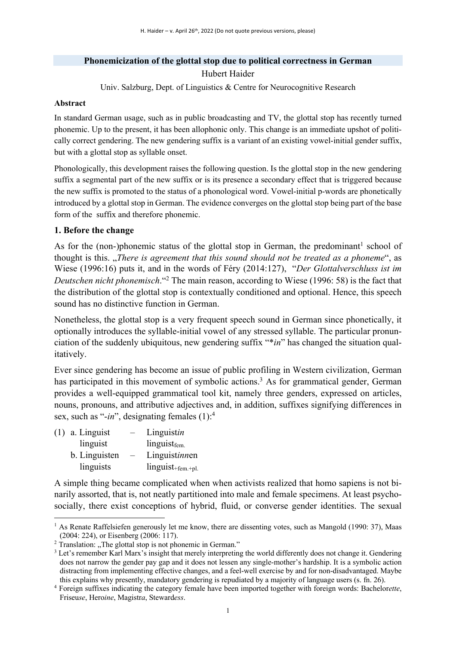# **Phonemicization of the glottal stop due to political correctness in German** Hubert Haider

Univ. Salzburg, Dept. of Linguistics & Centre for Neurocognitive Research

#### **Abstract**

In standard German usage, such as in public broadcasting and TV, the glottal stop has recently turned phonemic. Up to the present, it has been allophonic only. This change is an immediate upshot of politically correct gendering. The new gendering suffix is a variant of an existing vowel-initial gender suffix, but with a glottal stop as syllable onset.

Phonologically, this development raises the following question. Is the glottal stop in the new gendering suffix a segmental part of the new suffix or is its presence a secondary effect that is triggered because the new suffix is promoted to the status of a phonological word. Vowel-initial p-words are phonetically introduced by a glottal stop in German. The evidence converges on the glottal stop being part of the base form of the suffix and therefore phonemic.

## **1. Before the change**

As for the (non-)phonemic status of the glottal stop in German, the predominant<sup>1</sup> school of thought is this. "*There is agreement that this sound should not be treated as a phoneme*", as Wiese (1996:16) puts it, and in the words of Féry (2014:127), "*Der Glottalverschluss ist im Deutschen nicht phonemisch*."2 The main reason, according to Wiese (1996: 58) is the fact that the distribution of the glottal stop is contextually conditioned and optional. Hence, this speech sound has no distinctive function in German.

Nonetheless, the glottal stop is a very frequent speech sound in German since phonetically, it optionally introduces the syllable-initial vowel of any stressed syllable. The particular pronunciation of the suddenly ubiquitous, new gendering suffix "\**in*" has changed the situation qualitatively.

Ever since gendering has become an issue of public profiling in Western civilization, German has participated in this movement of symbolic actions.<sup>3</sup> As for grammatical gender, German provides a well-equipped grammatical tool kit, namely three genders, expressed on articles, nouns, pronouns, and attributive adjectives and, in addition, suffixes signifying differences in sex, such as "-in", designating females (1):<sup>4</sup>

| $(1)$ a. Linguist |                          | Linguistin               |
|-------------------|--------------------------|--------------------------|
| linguist          |                          | linguist <sub>fem.</sub> |
| b. Linguisten     | $\overline{\phantom{m}}$ | Linguistinnen            |
| linguists         |                          | $linguist+fem.+pl.$      |

A simple thing became complicated when when activists realized that homo sapiens is not binarily assorted, that is, not neatly partitioned into male and female specimens. At least psychosocially, there exist conceptions of hybrid, fluid, or converse gender identities. The sexual

<sup>&</sup>lt;sup>1</sup> As Renate Raffelsiefen generously let me know, there are dissenting votes, such as Mangold (1990: 37), Maas (2004: 224), or Eisenberg (2006: 117).<br><sup>2</sup> Translation: "The glottal stop is not phonemic in German."

 $3$  Let's remember Karl Marx's insight that merely interpreting the world differently does not change it. Gendering does not narrow the gender pay gap and it does not lessen any single-mother's hardship. It is a symbolic action distracting from implementing effective changes, and a feel-well exercise by and for non-disadvantaged. Maybe this explains why presently, mandatory gendering is repudiated by a majority of language users (s. fn. 26).

<sup>4</sup> Foreign suffixes indicating the category female have been imported together with foreign words: Bachelor*ette*, Friseu*se*, Hero*ine*, Magistr*a*, Steward*ess*.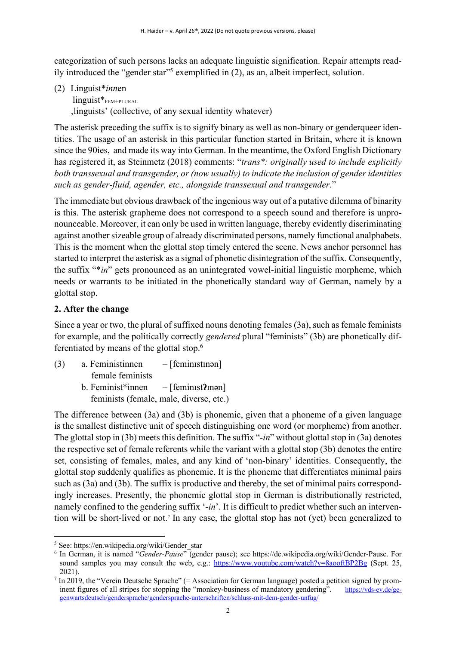categorization of such persons lacks an adequate linguistic signification. Repair attempts readily introduced the "gender star"5 exemplified in (2), as an, albeit imperfect, solution.

(2) Linguist\**inn*en

linguist\*<sub>FEM+PLURAL</sub> 'linguists' (collective, of any sexual identity whatever)

The asterisk preceding the suffix is to signify binary as well as non-binary or genderqueer identities. The usage of an asterisk in this particular function started in Britain, where it is known since the 90ies, and made its way into German. In the meantime, the Oxford English Dictionary has registered it, as Steinmetz (2018) comments: "*trans\*: originally used to include explicitly both transsexual and transgender, or (now usually) to indicate the inclusion of gender identities such as gender-fluid, agender, etc., alongside transsexual and transgender*."

The immediate but obvious drawback of the ingenious way out of a putative dilemma of binarity is this. The asterisk grapheme does not correspond to a speech sound and therefore is unpronounceable. Moreover, it can only be used in written language, thereby evidently discriminating against another sizeable group of already discriminated persons, namely functional analphabets. This is the moment when the glottal stop timely entered the scene. News anchor personnel has started to interpret the asterisk as a signal of phonetic disintegration of the suffix. Consequently, the suffix "\**in*" gets pronounced as an unintegrated vowel-initial linguistic morpheme, which needs or warrants to be initiated in the phonetically standard way of German, namely by a glottal stop.

### **2. After the change**

Since a year or two, the plural of suffixed nouns denoting females (3a), such as female feminists for example, and the politically correctly *gendered* plural "feminists" (3b) are phonetically differentiated by means of the glottal stop.6

(3) a. Feministinnen – [feminɪstɪnən] female feminists b. Feminist\*innen – [feminɪst**ʔ**ɪnən] feminists (female, male, diverse, etc.)

The difference between (3a) and (3b) is phonemic, given that a phoneme of a given language is the smallest distinctive unit of speech distinguishing one word (or morpheme) from another. The glottal stop in (3b) meets this definition. The suffix "-*in*" without glottal stop in (3a) denotes the respective set of female referents while the variant with a glottal stop (3b) denotes the entire set, consisting of females, males, and any kind of 'non-binary' identities. Consequently, the glottal stop suddenly qualifies as phonemic. It is the phoneme that differentiates minimal pairs such as (3a) and (3b). The suffix is productive and thereby, the set of minimal pairs correspondingly increases. Presently, the phonemic glottal stop in German is distributionally restricted, namely confined to the gendering suffix '-*in*'. It is difficult to predict whether such an intervention will be short-lived or not.7 In any case, the glottal stop has not (yet) been generalized to

 $5$  See: https://en.wikipedia.org/wiki/Gender\_star

<sup>6</sup> In German, it is named "*Gender-Pause*" (gender pause); see https://de.wikipedia.org/wiki/Gender-Pause. For sound samples you may consult the web, e.g.: https://www.youtube.com/watch?v=8aooftBP2Bg (Sept. 25, 2021).

 $^7$  In 2019, the "Verein Deutsche Sprache" (= Association for German language) posted a petition signed by prominent figures of all stripes for stopping the "monkey-business of mandatory gendering". https://vds-ev.de/gegenwartsdeutsch/gendersprache/gendersprache-unterschriften/schluss-mit-dem-gender-unfug/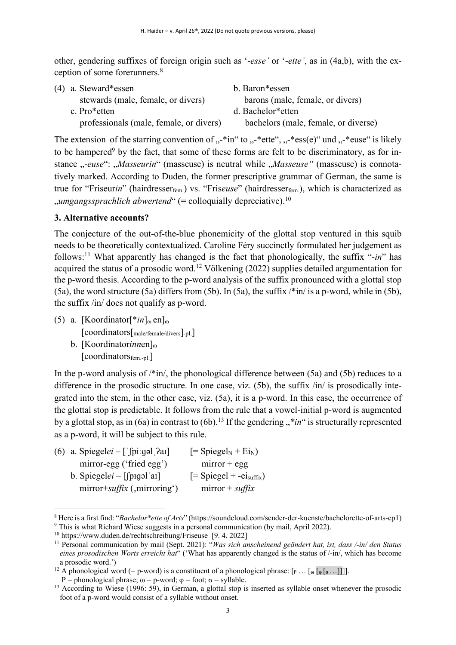other, gendering suffixes of foreign origin such as '-*esse'* or '-*ette'*, as in (4a,b), with the exception of some forerunners.8

| (4) a. Steward*essen                    | b. Baron <sup>*</sup> essen          |
|-----------------------------------------|--------------------------------------|
| stewards (male, female, or divers)      | barons (male, female, or divers)     |
| c. Pro*etten                            | d. Bachelor <sup>*</sup> etten       |
| professionals (male, female, or divers) | bachelors (male, female, or diverse) |

The extension of the starring convention of  $\ldots$ -\*in" to  $\ldots$ -\*ette",  $\ldots$ -\*ess(e)" und  $\ldots$ -\*euse" is likely to be hampered<sup>9</sup> by the fact, that some of these forms are felt to be discriminatory, as for instance *"-euse*": *"Masseurin*" (masseuse) is neutral while *"Masseuse* " (masseuse) is connotatively marked. According to Duden, the former prescriptive grammar of German, the same is true for "Friseurin" (hairdresser<sub>fem.</sub>) vs. "Friseuse" (hairdresser<sub>fem.</sub>), which is characterized as "*umgangssprachlich abwertend*" (= colloquially depreciative).10

### **3. Alternative accounts?**

The conjecture of the out-of-the-blue phonemicity of the glottal stop ventured in this squib needs to be theoretically contextualized. Caroline Féry succinctly formulated her judgement as follows: <sup>11</sup> What apparently has changed is the fact that phonologically, the suffix "-*in*" has acquired the status of a prosodic word.<sup>12</sup> Völkening (2022) supplies detailed argumentation for the p-word thesis. According to the p-word analysis of the suffix pronounced with a glottal stop (5a), the word structure (5a) differs from (5b). In (5a), the suffix  $\frac{*}{\text{in}}$  is a p-word, while in (5b), the suffix /in/ does not qualify as p-word.

- (5) a. [Koordinator[ $*in_{\infty}$  en]<sub> $\infty$ </sub> [coordinators[male/female/divers]-pl.] b. [Koordinatorinnen]<sub>0</sub>
	- [coordinatorsfem.-pl.]

In the p-word analysis of  $\sqrt{k}$ in, the phonological difference between (5a) and (5b) reduces to a difference in the prosodic structure. In one case, viz. (5b), the suffix /in/ is prosodically integrated into the stem, in the other case, viz. (5a), it is a p-word. In this case, the occurrence of the glottal stop is predictable. It follows from the rule that a vowel-initial p-word is augmented by a glottal stop, as in (6a) in contrast to (6b).<sup>13</sup> If the gendering "\**in*" is structurally represented as a p-word, it will be subject to this rule.

| (6) a. Spiegelei – ['fpi:gəl ?aı] | $[=SpiegelN + E1N)$        |
|-----------------------------------|----------------------------|
| mirror-egg ('fried egg')          | $mirror + egg$             |
| b. Spiegelei – [spigal al]        | $[= Spiegel + -eigdiffix)$ |
| $mirror+suffix$ (, mirroring')    | mirror + $\textit{suffix}$ |

<sup>8</sup> Here is a first find: "*Bachelor\*ette of Arts*" (https://soundcloud.com/sender-der-kuenste/bachelorette-of-arts-ep1) <sup>9</sup> This is what Richard Wiese suggests in a personal communication (by mail, April 2022).

<sup>10</sup> https://www.duden.de/rechtschreibung/Friseuse [9. 4. 2022]

<sup>11</sup> Personal communication by mail (Sept. 2021): "*Was sich anscheinend geändert hat, ist, dass /-in/ den Status eines prosodischen Worts erreicht hat*" ('What has apparently changed is the status of /-in/, which has become a prosodic word.')

<sup>&</sup>lt;sup>12</sup> A phonological word (= p-word) is a constituent of a phonological phrase:  $[p \dots [ \omega] [\phi [\sigma \dots]]]$ ].

P = phonological phrase; ω = p-word; φ = foot; σ = syllable.<br><sup>13</sup> According to Wiese (1996: 59), in German, a glottal stop is inserted as syllable onset whenever the prosodic foot of a p-word would consist of a syllable without onset.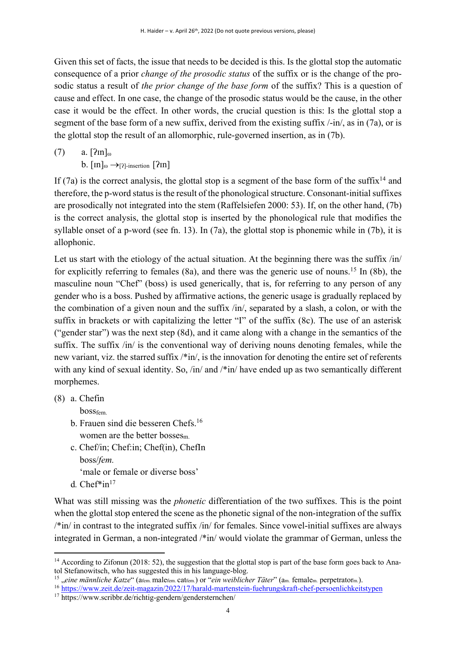Given this set of facts, the issue that needs to be decided is this. Is the glottal stop the automatic consequence of a prior *change of the prosodic status* of the suffix or is the change of the prosodic status a result of *the prior change of the base form* of the suffix? This is a question of cause and effect. In one case, the change of the prosodic status would be the cause, in the other case it would be the effect. In other words, the crucial question is this: Is the glottal stop a segment of the base form of a new suffix, derived from the existing suffix /-in/, as in (7a), or is the glottal stop the result of an allomorphic, rule-governed insertion, as in (7b).

 $(7)$  a.  $[2\text{m}]_{\text{O}}$ b.  $\lceil \text{Im} \rceil_{\omega} \rightarrow \lceil \text{2} \rceil$ -insertion  $\lceil \text{2} \text{Im} \rceil$ 

If (7a) is the correct analysis, the glottal stop is a segment of the base form of the suffix<sup>14</sup> and therefore, the p-word status is the result of the phonological structure. Consonant-initial suffixes are prosodically not integrated into the stem (Raffelsiefen 2000: 53). If, on the other hand, (7b) is the correct analysis, the glottal stop is inserted by the phonological rule that modifies the syllable onset of a p-word (see fn. 13). In (7a), the glottal stop is phonemic while in (7b), it is allophonic.

Let us start with the etiology of the actual situation. At the beginning there was the suffix /in/ for explicitly referring to females (8a), and there was the generic use of nouns.<sup>15</sup> In (8b), the masculine noun "Chef" (boss) is used generically, that is, for referring to any person of any gender who is a boss. Pushed by affirmative actions, the generic usage is gradually replaced by the combination of a given noun and the suffix /in/, separated by a slash, a colon, or with the suffix in brackets or with capitalizing the letter "I" of the suffix (8c). The use of an asterisk ("gender star") was the next step (8d), and it came along with a change in the semantics of the suffix. The suffix /in/ is the conventional way of deriving nouns denoting females, while the new variant, viz. the starred suffix /\*in/, is the innovation for denoting the entire set of referents with any kind of sexual identity. So, /in/ and /\*in/ have ended up as two semantically different morphemes.

(8) a. Chefin

bossfem.

- b. Frauen sind die besseren Chefs.16 women are the better bosses<sub>m</sub>.
- c. Chef/in; Chef:in; Chef(in), ChefIn boss/*fem.* 'male or female or diverse boss'
- d. Chef\*in<sup>17</sup>

What was still missing was the *phonetic* differentiation of the two suffixes. This is the point when the glottal stop entered the scene as the phonetic signal of the non-integration of the suffix /\*in/ in contrast to the integrated suffix /in/ for females. Since vowel-initial suffixes are always integrated in German, a non-integrated /\*in/ would violate the grammar of German, unless the

<sup>15</sup> "eine männliche Katze" (a<sub>fem.</sub> male<sub>fem.</sub> cat<sub>fem.</sub>) or "*ein weiblicher Täter*" (a<sub>m.</sub> female<sub>m.</sub> perpetrator<sub>m.</sub>).

<sup>&</sup>lt;sup>14</sup> According to Zifonun (2018: 52), the suggestion that the glottal stop is part of the base form goes back to Anatol Stefanowitsch, who has suggested this in his language-blog.

<sup>16</sup> https://www.zeit.de/zeit-magazin/2022/17/harald-martenstein-fuehrungskraft-chef-persoenlichkeitstypen

<sup>17</sup> https://www.scribbr.de/richtig-gendern/gendersternchen/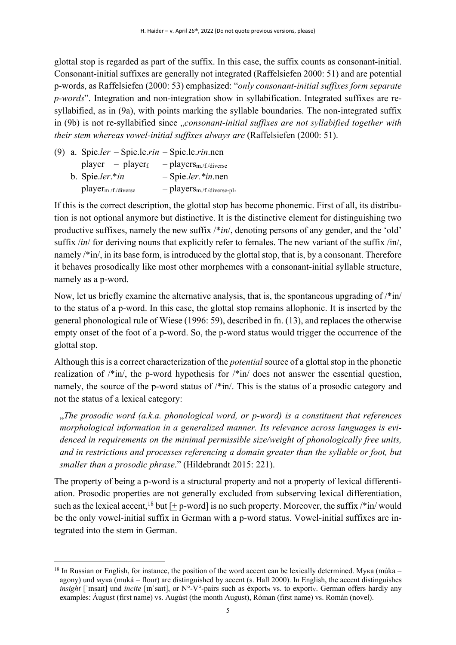glottal stop is regarded as part of the suffix. In this case, the suffix counts as consonant-initial. Consonant-initial suffixes are generally not integrated (Raffelsiefen 2000: 51) and are potential p-words, as Raffelsiefen (2000: 53) emphasized: "*only consonant-initial suffixes form separate p-words*". Integration and non-integration show in syllabification. Integrated suffixes are resyllabified, as in (9a), with points marking the syllable boundaries. The non-integrated suffix in (9b) is not re-syllabified since *"consonant-initial suffixes are not syllabified together with their stem whereas vowel-initial suffixes always are* (Raffelsiefen (2000: 51).

|  | (9) a. Spie.ler – Spie.le.rin – Spie.le.rin.nen |                                         |
|--|-------------------------------------------------|-----------------------------------------|
|  | $player - player$                               | $-p$ layers <sub>m</sub> ./f./diverse   |
|  | b. Spie.ler.*in                                 | $-$ Spie.ler. *in.nen                   |
|  | $player_{m./f./diverse}$                        | $-p$ layers <sub>m</sub> /f/diverse-pl. |

If this is the correct description, the glottal stop has become phonemic. First of all, its distribution is not optional anymore but distinctive. It is the distinctive element for distinguishing two productive suffixes, namely the new suffix /\**in*/, denoting persons of any gender, and the 'old' suffix */in/* for deriving nouns that explicitly refer to females. The new variant of the suffix /in/, namely /\*in/, in its base form, is introduced by the glottal stop, that is, by a consonant. Therefore it behaves prosodically like most other morphemes with a consonant-initial syllable structure, namely as a p-word.

Now, let us briefly examine the alternative analysis, that is, the spontaneous upgrading of  $\frac{\text{min}}{\text{min}}$ to the status of a p-word. In this case, the glottal stop remains allophonic. It is inserted by the general phonological rule of Wiese (1996: 59), described in fn. (13), and replaces the otherwise empty onset of the foot of a p-word. So, the p-word status would trigger the occurrence of the glottal stop.

Although this is a correct characterization of the *potential* source of a glottal stop in the phonetic realization of /\*in/, the p-word hypothesis for /\*in/ does not answer the essential question, namely, the source of the p-word status of  $\frac{\pi}{n}$ . This is the status of a prosodic category and not the status of a lexical category:

"*The prosodic word (a.k.a. phonological word, or p-word) is a constituent that references morphological information in a generalized manner. Its relevance across languages is evidenced in requirements on the minimal permissible size/weight of phonologically free units, and in restrictions and processes referencing a domain greater than the syllable or foot, but smaller than a prosodic phrase*." (Hildebrandt 2015: 221).

The property of being a p-word is a structural property and not a property of lexical differentiation. Prosodic properties are not generally excluded from subserving lexical differentiation, such as the lexical accent, <sup>18</sup> but  $[\pm p$ -word] is no such property. Moreover, the suffix /\*in/would be the only vowel-initial suffix in German with a p-word status. Vowel-initial suffixes are integrated into the stem in German.

<sup>&</sup>lt;sup>18</sup> In Russian or English, for instance, the position of the word accent can be lexically determined. Myka (múka = agony) und мука (muká = flour) are distinguished by accent (s. Hall 2000). In English, the accent distinguishes *insight* ['insait] und *incite* [in'sait], or N°-V°-pairs such as éxport<sub>N</sub> vs. to exporty. German offers hardly any examples: Àugust (first name) vs. Augúst (the month August), Róman (first name) vs. Román (novel).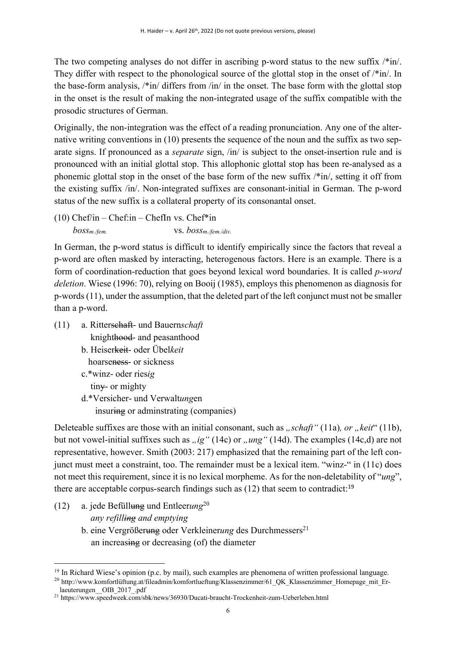The two competing analyses do not differ in ascribing p-word status to the new suffix  $\frac{\partial^2 f}{\partial x^2}$ . They differ with respect to the phonological source of the glottal stop in the onset of  $\ell^*$ in/. In the base-form analysis, /\*in/ differs from /in/ in the onset. The base form with the glottal stop in the onset is the result of making the non-integrated usage of the suffix compatible with the prosodic structures of German.

Originally, the non-integration was the effect of a reading pronunciation. Any one of the alternative writing conventions in (10) presents the sequence of the noun and the suffix as two separate signs. If pronounced as a *separate* sign, /in/ is subject to the onset-insertion rule and is pronounced with an initial glottal stop. This allophonic glottal stop has been re-analysed as a phonemic glottal stop in the onset of the base form of the new suffix /\*in/, setting it off from the existing suffix /in/. Non-integrated suffixes are consonant-initial in German. The p-word status of the new suffix is a collateral property of its consonantal onset.

 $(10)$  Chef/in – Chef:in – ChefIn vs. Chef\*in *bossm./fem.* vs. *bossm./fem./div.*

In German, the p-word status is difficult to identify empirically since the factors that reveal a p-word are often masked by interacting, heterogenous factors. Here is an example. There is a form of coordination-reduction that goes beyond lexical word boundaries. It is called *p-word deletion*. Wiese (1996: 70), relying on Booij (1985), employs this phenomenon as diagnosis for p-words (11), under the assumption, that the deleted part of the left conjunct must not be smaller than a p-word.

- (11) a. Ritterschaft- und Bauern*schaft*  knighthood- and peasanthood
	- b. Heiserkeit- oder Übel*keit* hoarseness- or sickness
	- c.\*winz- oder ries*ig* tiny- or mighty
	- d.\*Versicher- und Verwalt*ung*en insuring or adminstrating (companies)

Deleteable suffixes are those with an initial consonant, such as *"schaft"* (11a), *or* "keit" (11b), but not vowel-initial suffixes such as *"ig"* (14c) or "*ung"* (14d). The examples (14c,d) are not representative, however. Smith (2003: 217) emphasized that the remaining part of the left conjunct must meet a constraint, too. The remainder must be a lexical item. "winz-" in (11c) does not meet this requirement, since it is no lexical morpheme. As for the non-deletability of "*ung*", there are acceptable corpus-search findings such as  $(12)$  that seem to contradict:<sup>19</sup>

(12) a. jede Befüllung und Entleer*ung*<sup>20</sup>  *any refilling and emptying* b. eine Vergrößerung oder Verkleinerung des Durchmessers<sup>21</sup> an increasing or decreasing (of) the diameter

<sup>&</sup>lt;sup>19</sup> In Richard Wiese's opinion (p.c. by mail), such examples are phenomena of written professional language.

<sup>20</sup> http://www.komfortlüftung.at/fileadmin/komfortlueftung/Klassenzimmer/61\_QK\_Klassenzimmer\_Homepage\_mit\_Erlaeuterungen\_\_OIB\_2017\_.pdf

<sup>21</sup> https://www.speedweek.com/sbk/news/36930/Ducati-braucht-Trockenheit-zum-Ueberleben.html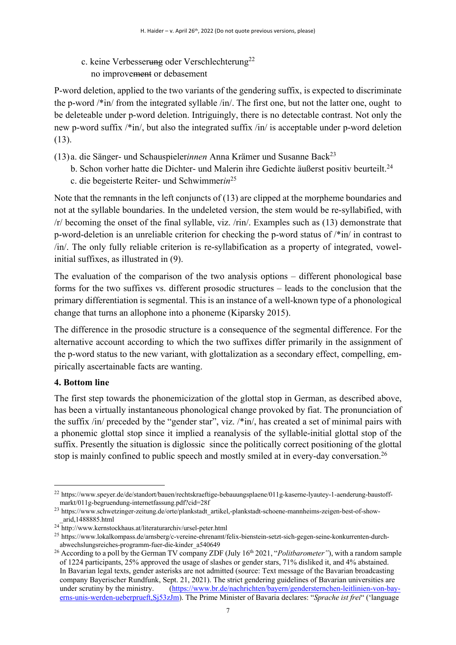c. keine Verbesserung oder Verschlechterung<sup>22</sup> no improvement or debasement

P-word deletion, applied to the two variants of the gendering suffix, is expected to discriminate the p-word /\*in/ from the integrated syllable /in/. The first one, but not the latter one, ought to be deleteable under p-word deletion. Intriguingly, there is no detectable contrast. Not only the new p-word suffix /\*in/, but also the integrated suffix /in/ is acceptable under p-word deletion (13).

- (13)a. die Sänger- und Schauspieler*innen* Anna Krämer und Susanne Back23
	- b. Schon vorher hatte die Dichter- und Malerin ihre Gedichte äußerst positiv beurteilt.<sup>24</sup>
	- c. die begeisterte Reiter- und Schwimmer*in*<sup>25</sup>

Note that the remnants in the left conjuncts of (13) are clipped at the morpheme boundaries and not at the syllable boundaries. In the undeleted version, the stem would be re-syllabified, with /r/ becoming the onset of the final syllable, viz. /rin/. Examples such as (13) demonstrate that p-word-deletion is an unreliable criterion for checking the p-word status of /\*in/ in contrast to /in/. The only fully reliable criterion is re-syllabification as a property of integrated, vowelinitial suffixes, as illustrated in (9).

The evaluation of the comparison of the two analysis options – different phonological base forms for the two suffixes vs. different prosodic structures – leads to the conclusion that the primary differentiation is segmental. This is an instance of a well-known type of a phonological change that turns an allophone into a phoneme (Kiparsky 2015).

The difference in the prosodic structure is a consequence of the segmental difference. For the alternative account according to which the two suffixes differ primarily in the assignment of the p-word status to the new variant, with glottalization as a secondary effect, compelling, empirically ascertainable facts are wanting.

### **4. Bottom line**

The first step towards the phonemicization of the glottal stop in German, as described above, has been a virtually instantaneous phonological change provoked by fiat. The pronunciation of the suffix /in/ preceded by the "gender star", viz. /\*in/, has created a set of minimal pairs with a phonemic glottal stop since it implied a reanalysis of the syllable-initial glottal stop of the suffix. Presently the situation is diglossic since the politically correct positioning of the glottal stop is mainly confined to public speech and mostly smiled at in every-day conversation.<sup>26</sup>

<sup>22</sup> https://www.speyer.de/de/standort/bauen/rechtskraeftige-bebauungsplaene/011g-kaserne-lyautey-1-aenderung-baustoffmarkt/011g-begruendung-internetfassung.pdf?cid=28f

<sup>&</sup>lt;sup>23</sup> https://www.schwetzinger-zeitung.de/orte/plankstadt\_artikel,-plankstadt-schoene-mannheims-zeigen-best-of-show-\_arid,1488885.html

<sup>&</sup>lt;sup>24</sup> http://www.kernstockhaus.at/literaturarchiv/ursel-peter.html

<sup>25</sup> https://www.lokalkompass.de/arnsberg/c-vereine-ehrenamt/felix-bienstein-setzt-sich-gegen-seine-konkurrenten-durchabwechslungsreiches-programm-fuer-die-kinder\_a540649

<sup>&</sup>lt;sup>26</sup> According to a poll by the German TV company ZDF (July 16<sup>th</sup> 2021, "*Politbarometer*"), with a random sample of 1224 participants, 25% approved the usage of slashes or gender stars, 71% disliked it, and 4% abstained. In Bavarian legal texts, gender asterisks are not admitted (source: Text message of the Bavarian broadcasting company Bayerischer Rundfunk, Sept. 21, 2021). The strict gendering guidelines of Bavarian universities are under scrutiny by the ministry. (https://www.br.de/nachrichten/bayern/gendersternchen-leitlinien-von-bayerns-unis-werden-ueberprueft,Sj53zJm). The Prime Minister of Bavaria declares: "*Sprache ist frei*" ('language